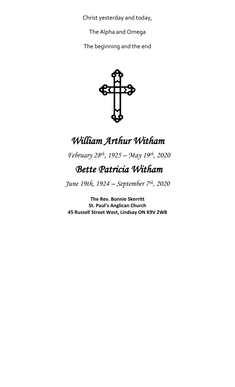Christ yesterday and today,

The Alpha and Omega

The beginning and the end



# *William Arthur Witham*

 *February 28th, 1925 – May 19th , 2020*

## *Bette Patricia Witham*

*June 19th, 1924 – September 7th, 2020*

**The Rev. Bonnie Skerritt St. Paul's Anglican Church 45 Russell Street West, Lindsay ON K9V 2W8**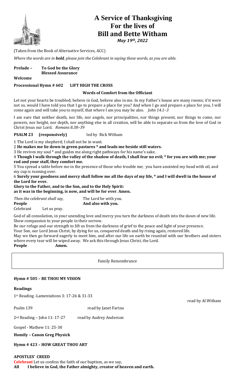

### **A Service of Thanksgiving For the lives of Bill and Bette Witham**

*May 19th, 2022*

(Taken from the Book of Alternative Services, ACC)

*Where the words are in bold, please join the Celebrant in saying these words, as you are able.* 

| <b>Prelude –</b> | To God be the Glory      |
|------------------|--------------------------|
|                  | <b>Blessed Assurance</b> |

**Welcome**

#### **Processional Hymn # 602 LIFT HIGH THE CROSS**

#### **Words of Comfort from the Officiant**

Let not your hearts be troubled; believe in God, believe also in me. In my Father's house are many rooms; if it were not so, would I have told you that I go to prepare a place for you? And when I go and prepare a place for you, I will come again and will take you to myself, that where I am you may be also. *John 14.1–3*

I am sure that neither death, nor life, nor angels, nor principalities, nor things present, nor things to come, nor powers, nor height, nor depth, nor anything else in all creation, will be able to separate us from the love of God in Christ Jesus our Lord. *Romans 8.38–39*

**PSALM 23 (responsively)** led by Rick Witham

1 The Lord is my shepherd; I shall not be in want.

2 **He makes me lie down in green pastures \* and leads me beside still waters.**

3 He revives my soul \* and guides me along right pathways for his name's sake.

4 **Though I walk through the valley of the shadow of death, I shall fear no evil; \* for you are with me; your rod and your staff, they comfort me.**

5 You spread a table before me in the presence of those who trouble me; you have anointed my head with oil, and my cup is running over.

6 **Surely your goodness and mercy shall follow me all the days of my life, \* and I will dwell in the house of the Lord for ever.**

**Glory to the Father, and to the Son, and to the Holy Spirit: as it was in the beginning, is now, and will be for ever**. **Amen.**

| Then the celebrant shall say,<br>People |  | The Lord be with you.<br>And also with you. |
|-----------------------------------------|--|---------------------------------------------|
|                                         |  |                                             |

God of all consolation, in your unending love and mercy you turn the darkness of death into the dawn of new life. Show compassion to your people in their sorrow.

Be our refuge and our strength to lift us from the darkness of grief to the peace and light of your presence. Your Son, our Lord Jesus Christ, by dying for us, conquered death and by rising again, restored life. May we then go forward eagerly to meet him, and after our life on earth be reunited with our brothers and sisters where every tear will be wiped away. We ask this through Jesus Christ, the Lord. **People Amen.**

Family Remembrance

#### **Hymn # 505 – BE THOU MY VISION**

#### **Readings**

1st Reading -Lamentations 3: 17-26 & 31-33

Psalm 139 read by Janet Farina

2<sup>nd</sup> Reading - John 11: 17-27 read by Audrey Anderson

Gospel - Mathew 11: 25-30

**Homily – Canon Greg Physick**

**Hymn # 423 – HOW GREAT THOU ART**

**APOSTLES' CREED Celebrant** Let us confess the faith of our baptism, as we say, **All I believe in God, the Father almighty, creator of heaven and earth.** read by Al Witham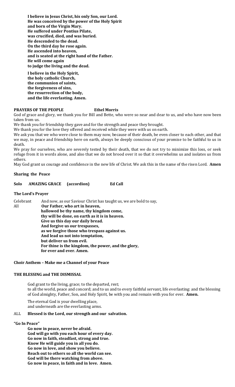**I believe in Jesus Christ, his only Son, our Lord. He was conceived by the power of the Holy Spirit and born of the Virgin Mary. He suffered under Pontius Pilate, was crucified, died, and was buried. He descended to the dead. On the third day he rose again. He ascended into heaven, and is seated at the right hand of the Father. He will come again to judge the living and the dead.**

**I believe in the Holy Spirit, the holy catholic Church, the communion of saints, the forgiveness of sins, the resurrection of the body, and the life everlasting. Amen.**

#### **PRAYERS OF THE PEOPLE Ethel Morris**

God of grace and glory, we thank you for Bill and Bette, who were so near and dear to us, and who have now been taken from us.

We thank you for friendship they gave and for the strength and peace they brought.

We thank you for the love they offered and received while they were with us on earth.

We ask you that we who were close to them may now, because of their death, be even closer to each other, and that we may, in peace and friendship here on earth, always be deeply conscious of your promise to be faithful to us in death.

We pray for ourselves, who are severely tested by their death, that we do not try to minimize this loss, or seek refuge from it in words alone, and also that we do not brood over it so that it overwhelms us and isolates us from others.

May God grant us courage and confidence in the new life of Christ. We ask this in the name of the risen Lord. **Amen**

#### **Sharing the Peace**

**Solo AMAZING GRACE (accordion) Ed Call**

#### **The Lord's Prayer**

| And now, as our Saviour Christ has taught us, we are bold to say, |
|-------------------------------------------------------------------|
| Our Father, who art in heaven,                                    |
| hallowed be thy name, thy kingdom come,                           |
| thy will be done, on earth as it is in heaven.                    |
| Give us this day our daily bread.                                 |
| And forgive us our trespasses,                                    |
| as we forgive those who trespass against us.                      |
| And lead us not into temptation,                                  |
| but deliver us from evil.                                         |
| For thine is the kingdom, the power, and the glory,               |
| for ever and ever. Amen.                                          |
|                                                                   |

#### **Choir Anthem – Make me a Channel of your Peace**

#### **THE BLESSING and THE DISMISSAL**

God grant to the living, grace; to the departed, rest; to all the world, peace and concord; and to us and to every faithful servant, life everlasting: and the blessing of God almighty, Father, Son, and Holy Spirit, be with you and remain with you for ever. **Amen.**

The eternal God is your dwelling place, and underneath are the everlasting arms.

#### ALL **Blessed is the Lord, our strength and our salvation.**

#### **"Go In Peace"**

**Go now in peace, never be afraid. God will go with you each hour of every day. Go now in faith, steadfast, strong and true. Know He will guide you in all you do. Go now in love, and show you believe. Reach out to others so all the world can see. God will be there watching from above. Go now in peace, in faith and in love. Amen.**